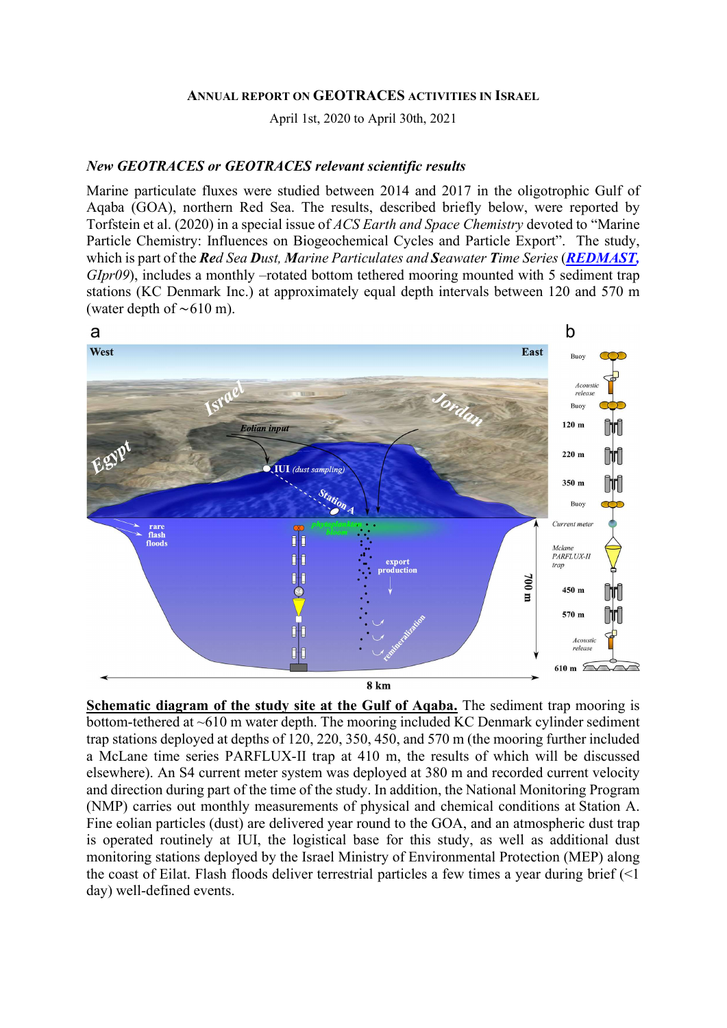#### ANNUAL REPORT ON GEOTRACES ACTIVITIES IN ISRAEL

April 1st, 2020 to April 30th, 2021

#### New GEOTRACES or GEOTRACES relevant scientific results

Marine particulate fluxes were studied between 2014 and 2017 in the oligotrophic Gulf of Aqaba (GOA), northern Red Sea. The results, described briefly below, were reported by Torfstein et al. (2020) in a special issue of ACS Earth and Space Chemistry devoted to "Marine Particle Chemistry: Influences on Biogeochemical Cycles and Particle Export". The study, which is part of the Red Sea Dust, Marine Particulates and Seawater Time Series (REDMAST,  $GIpr09$ , includes a monthly –rotated bottom tethered mooring mounted with 5 sediment trap stations (KC Denmark Inc.) at approximately equal depth intervals between 120 and 570 m (water depth of ∼610 m).



**8 km** 

Schematic diagram of the study site at the Gulf of Aqaba. The sediment trap mooring is bottom-tethered at ~610 m water depth. The mooring included KC Denmark cylinder sediment trap stations deployed at depths of 120, 220, 350, 450, and 570 m (the mooring further included a McLane time series PARFLUX-II trap at 410 m, the results of which will be discussed elsewhere). An S4 current meter system was deployed at 380 m and recorded current velocity and direction during part of the time of the study. In addition, the National Monitoring Program (NMP) carries out monthly measurements of physical and chemical conditions at Station A. Fine eolian particles (dust) are delivered year round to the GOA, and an atmospheric dust trap is operated routinely at IUI, the logistical base for this study, as well as additional dust monitoring stations deployed by the Israel Ministry of Environmental Protection (MEP) along the coast of Eilat. Flash floods deliver terrestrial particles a few times a year during brief (<1 day) well-defined events.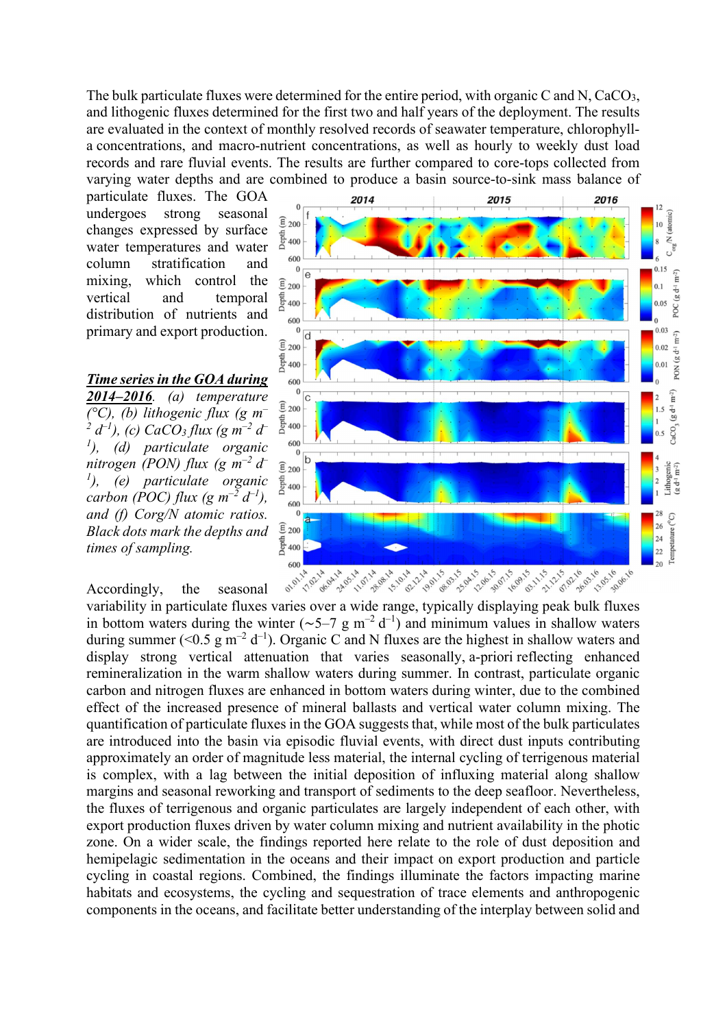The bulk particulate fluxes were determined for the entire period, with organic C and N, CaCO<sub>3</sub>, and lithogenic fluxes determined for the first two and half years of the deployment. The results are evaluated in the context of monthly resolved records of seawater temperature, chlorophylla concentrations, and macro-nutrient concentrations, as well as hourly to weekly dust load records and rare fluvial events. The results are further compared to core-tops collected from varying water depths and are combined to produce a basin source-to-sink mass balance of

particulate fluxes. The GOA undergoes strong seasonal changes expressed by surface water temperatures and water column stratification and mixing, which control the vertical and temporal distribution of nutrients and primary and export production.

Time series in the GOA during 2014–2016. (a) temperature  $(^{\circ}C)$ , (b) lithogenic flux (g m<sup>-</sup> 2  $d^{-1}$ ), (c) CaCO<sub>3</sub> flux (g m<sup>-2</sup> d<sup>-</sup>  $\,$ <sup>1</sup>), (d) particulate organic nitrogen (PON) flux (g  $m^{-2} d^ \mu^{(1)}$ , (e) particulate organic carbon (POC) flux (g  $m^{-2} d^{-1}$ ), and (f) Corg/N atomic ratios. Black dots mark the depths and times of sampling.

Accordingly, the seasonal



in bottom waters during the winter ( $\sim$ 5–7 g m<sup>-2</sup> d<sup>-1</sup>) and minimum values in shallow waters during summer (<0.5 g m<sup>-2</sup> d<sup>-1</sup>). Organic C and N fluxes are the highest in shallow waters and display strong vertical attenuation that varies seasonally, a-priori reflecting enhanced remineralization in the warm shallow waters during summer. In contrast, particulate organic carbon and nitrogen fluxes are enhanced in bottom waters during winter, due to the combined effect of the increased presence of mineral ballasts and vertical water column mixing. The quantification of particulate fluxes in the GOA suggests that, while most of the bulk particulates are introduced into the basin via episodic fluvial events, with direct dust inputs contributing approximately an order of magnitude less material, the internal cycling of terrigenous material is complex, with a lag between the initial deposition of influxing material along shallow margins and seasonal reworking and transport of sediments to the deep seafloor. Nevertheless, the fluxes of terrigenous and organic particulates are largely independent of each other, with export production fluxes driven by water column mixing and nutrient availability in the photic zone. On a wider scale, the findings reported here relate to the role of dust deposition and hemipelagic sedimentation in the oceans and their impact on export production and particle cycling in coastal regions. Combined, the findings illuminate the factors impacting marine habitats and ecosystems, the cycling and sequestration of trace elements and anthropogenic components in the oceans, and facilitate better understanding of the interplay between solid and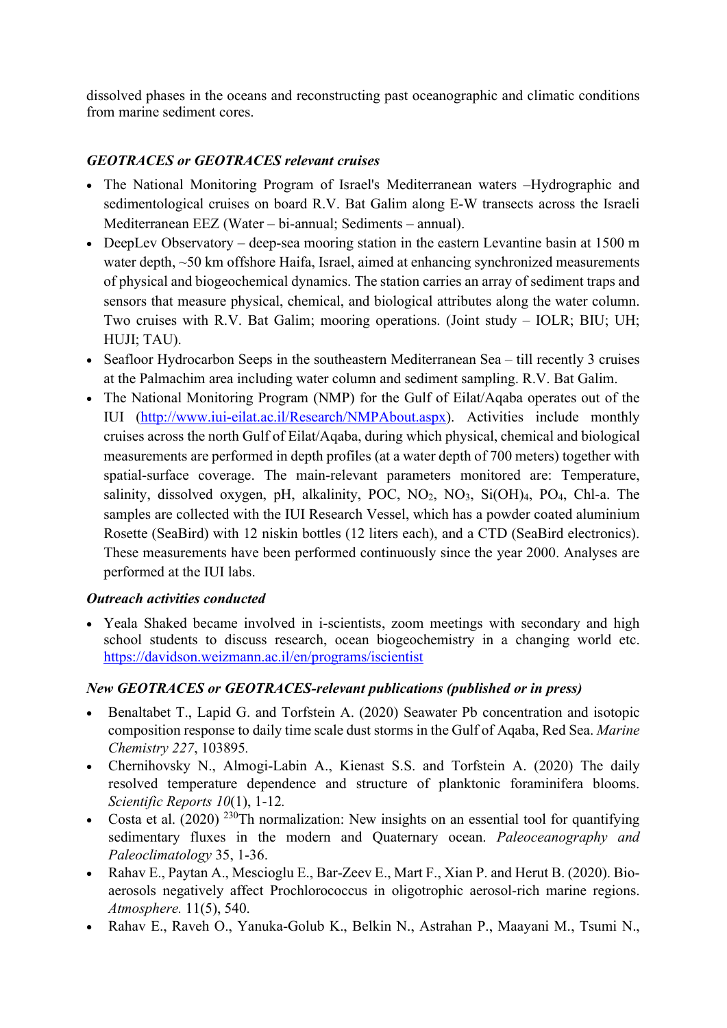dissolved phases in the oceans and reconstructing past oceanographic and climatic conditions from marine sediment cores.

# GEOTRACES or GEOTRACES relevant cruises

- The National Monitoring Program of Israel's Mediterranean waters –Hydrographic and sedimentological cruises on board R.V. Bat Galim along E-W transects across the Israeli Mediterranean EEZ (Water – bi-annual; Sediments – annual).
- DeepLev Observatory deep-sea mooring station in the eastern Levantine basin at 1500 m water depth, ~50 km offshore Haifa, Israel, aimed at enhancing synchronized measurements of physical and biogeochemical dynamics. The station carries an array of sediment traps and sensors that measure physical, chemical, and biological attributes along the water column. Two cruises with R.V. Bat Galim; mooring operations. (Joint study – IOLR; BIU; UH; HUJI; TAU).
- Seafloor Hydrocarbon Seeps in the southeastern Mediterranean Sea till recently 3 cruises at the Palmachim area including water column and sediment sampling. R.V. Bat Galim.
- The National Monitoring Program (NMP) for the Gulf of Eilat/Aqaba operates out of the IUI (http://www.iui-eilat.ac.il/Research/NMPAbout.aspx). Activities include monthly cruises across the north Gulf of Eilat/Aqaba, during which physical, chemical and biological measurements are performed in depth profiles (at a water depth of 700 meters) together with spatial-surface coverage. The main-relevant parameters monitored are: Temperature, salinity, dissolved oxygen, pH, alkalinity, POC,  $NO<sub>2</sub>$ ,  $NO<sub>3</sub>$ ,  $Si(OH)<sub>4</sub>$ ,  $PO<sub>4</sub>$ , Chl-a. The samples are collected with the IUI Research Vessel, which has a powder coated aluminium Rosette (SeaBird) with 12 niskin bottles (12 liters each), and a CTD (SeaBird electronics). These measurements have been performed continuously since the year 2000. Analyses are performed at the IUI labs.

## Outreach activities conducted

 Yeala Shaked became involved in i-scientists, zoom meetings with secondary and high school students to discuss research, ocean biogeochemistry in a changing world etc. https://davidson.weizmann.ac.il/en/programs/iscientist

## New GEOTRACES or GEOTRACES-relevant publications (published or in press)

- Benaltabet T., Lapid G. and Torfstein A. (2020) Seawater Pb concentration and isotopic composition response to daily time scale dust storms in the Gulf of Aqaba, Red Sea. Marine Chemistry 227, 103895.
- Chernihovsky N., Almogi-Labin A., Kienast S.S. and Torfstein A. (2020) The daily resolved temperature dependence and structure of planktonic foraminifera blooms. Scientific Reports 10(1), 1-12.
- Costa et al.  $(2020)$ <sup>230</sup>Th normalization: New insights on an essential tool for quantifying sedimentary fluxes in the modern and Quaternary ocean. Paleoceanography and Paleoclimatology 35, 1-36.
- Rahav E., Paytan A., Mescioglu E., Bar-Zeev E., Mart F., Xian P. and Herut B. (2020). Bioaerosols negatively affect Prochlorococcus in oligotrophic aerosol-rich marine regions. Atmosphere. 11(5), 540.
- Rahav E., Raveh O., Yanuka-Golub K., Belkin N., Astrahan P., Maayani M., Tsumi N.,